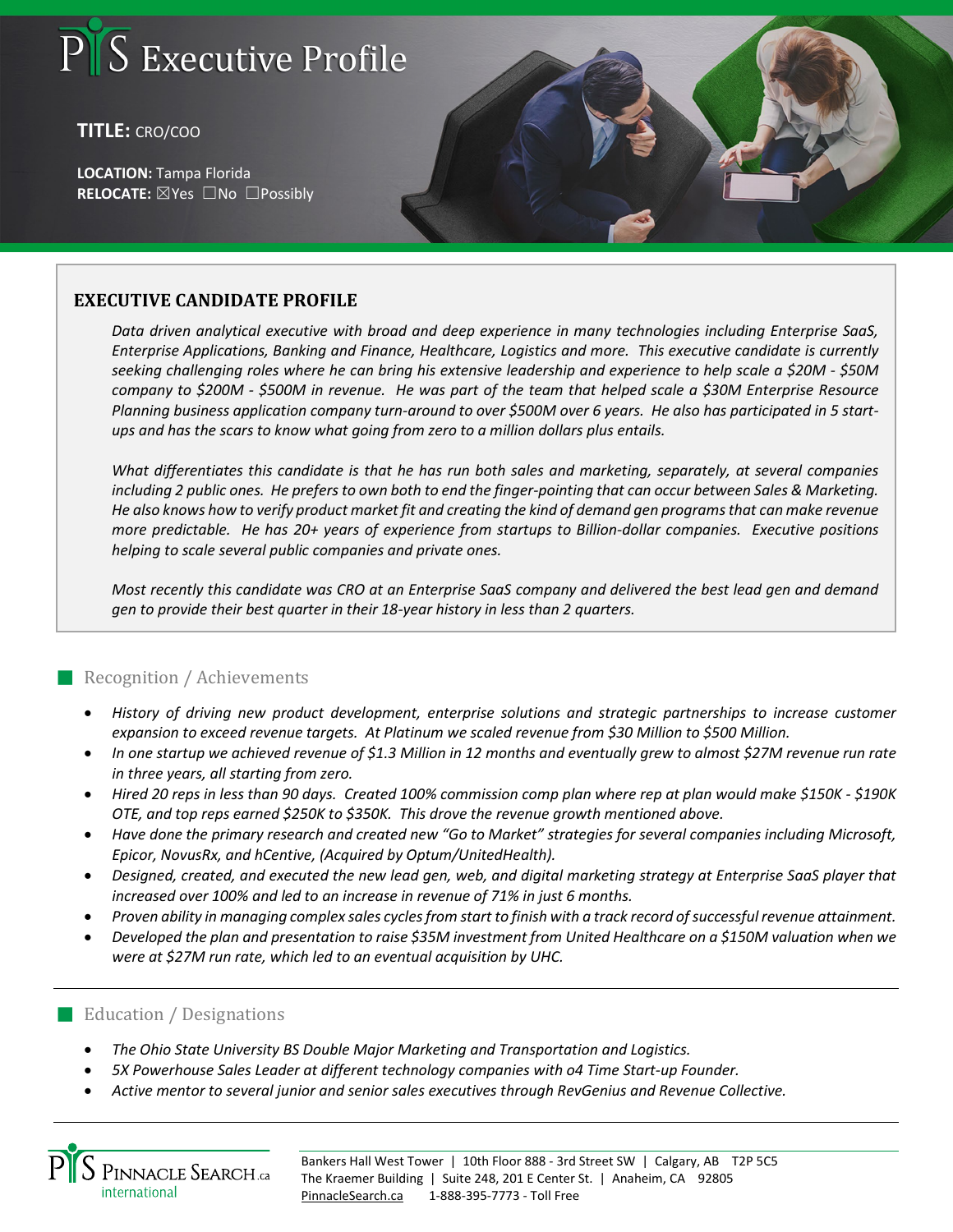# S Executive Profile

## **TITLE:** CRO/COO

**LOCATION:** Tampa Florida **RELOCATE:** ☒Yes ☐No ☐Possibly

## **EXECUTIVE CANDIDATE PROFILE**

*Data driven analytical executive with broad and deep experience in many technologies including Enterprise SaaS, Enterprise Applications, Banking and Finance, Healthcare, Logistics and more. This executive candidate is currently seeking challenging roles where he can bring his extensive leadership and experience to help scale a \$20M - \$50M company to \$200M - \$500M in revenue. He was part of the team that helped scale a \$30M Enterprise Resource Planning business application company turn-around to over \$500M over 6 years. He also has participated in 5 startups and has the scars to know what going from zero to a million dollars plus entails.* 

*What differentiates this candidate is that he has run both sales and marketing, separately, at several companies including 2 public ones. He prefers to own both to end the finger-pointing that can occur between Sales & Marketing. He also knows how to verify product market fit and creating the kind of demand gen programs that can make revenue more predictable. He has 20+ years of experience from startups to Billion-dollar companies. Executive positions helping to scale several public companies and private ones.* 

*Most recently this candidate was CRO at an Enterprise SaaS company and delivered the best lead gen and demand gen to provide their best quarter in their 18-year history in less than 2 quarters.* 

#### Recognition / Achievements

- *History of driving new product development, enterprise solutions and strategic partnerships to increase customer expansion to exceed revenue targets. At Platinum we scaled revenue from \$30 Million to \$500 Million.*
- *In one startup we achieved revenue of \$1.3 Million in 12 months and eventually grew to almost \$27M revenue run rate in three years, all starting from zero.*
- *Hired 20 reps in less than 90 days. Created 100% commission comp plan where rep at plan would make \$150K - \$190K OTE, and top reps earned \$250K to \$350K. This drove the revenue growth mentioned above.*
- *Have done the primary research and created new "Go to Market" strategies for several companies including Microsoft, Epicor, NovusRx, and hCentive, (Acquired by Optum/UnitedHealth).*
- *Designed, created, and executed the new lead gen, web, and digital marketing strategy at Enterprise SaaS player that increased over 100% and led to an increase in revenue of 71% in just 6 months.*
- *Proven ability in managing complex sales cycles from start to finish with a track record of successful revenue attainment.*
- *Developed the plan and presentation to raise \$35M investment from United Healthcare on a \$150M valuation when we were at \$27M run rate, which led to an eventual acquisition by UHC.*

#### **Education / Designations**

- *The Ohio State University BS Double Major Marketing and Transportation and Logistics.*
- *5X Powerhouse Sales Leader at different technology companies with o4 Time Start-up Founder.*
- *Active mentor to several junior and senior sales executives through RevGenius and Revenue Collective.*